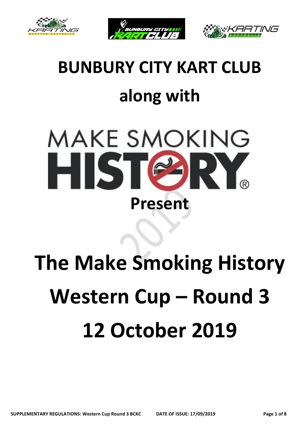





# **BUNBURY CITY KART CLUB along with**



# **The Make Smoking History Western Cup – Round 3 12 October 2019**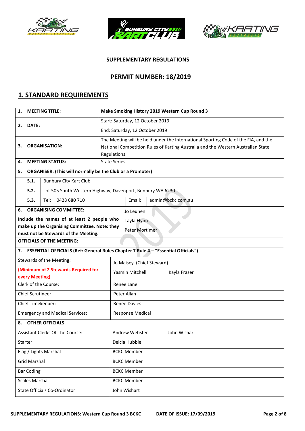





#### **SUPPLEMENTARY REGULATIONS**

#### **PERMIT NUMBER: 18/2019**

### **1. STANDARD REQUIREMENTS**

| <b>MEETING TITLE:</b><br>1.            |                                                                  | Make Smoking History 2019 Western Cup Round 3                                      |  |  |  |  |
|----------------------------------------|------------------------------------------------------------------|------------------------------------------------------------------------------------|--|--|--|--|
|                                        |                                                                  | Start: Saturday, 12 October 2019                                                   |  |  |  |  |
| DATE:<br>2.                            |                                                                  | End: Saturday, 12 October 2019                                                     |  |  |  |  |
|                                        |                                                                  | The Meeting will be held under the International Sporting Code of the FIA, and the |  |  |  |  |
| З.                                     | <b>ORGANISATION:</b>                                             | National Competition Rules of Karting Australia and the Western Australian State   |  |  |  |  |
|                                        |                                                                  | Regulations.                                                                       |  |  |  |  |
| 4.                                     | <b>MEETING STATUS:</b>                                           | <b>State Series</b>                                                                |  |  |  |  |
| 5.                                     | <b>ORGANISER: (This will normally be the Club or a Promoter)</b> |                                                                                    |  |  |  |  |
| 5.1.                                   | <b>Bunbury City Kart Club</b>                                    |                                                                                    |  |  |  |  |
| 5.2.                                   |                                                                  | Lot 505 South Western Highway, Davenport, Bunbury WA 6230                          |  |  |  |  |
| 5.3.                                   | 0428 680 710<br>Tel:                                             | Email:<br>admin@bckc.com.au                                                        |  |  |  |  |
| 6.                                     | <b>ORGANISING COMMITTEE:</b>                                     | Jo Leunen                                                                          |  |  |  |  |
|                                        | Include the names of at least 2 people who                       | Tayla Flynn                                                                        |  |  |  |  |
|                                        | make up the Organising Committee. Note: they                     | Peter Mortimer                                                                     |  |  |  |  |
|                                        | must not be Stewards of the Meeting.                             |                                                                                    |  |  |  |  |
|                                        | <b>OFFICIALS OF THE MEETING:</b>                                 |                                                                                    |  |  |  |  |
| 7.                                     |                                                                  | ESSENTIAL OFFICIALS (Ref: General Rules Chapter 7 Rule 4 - "Essential Officials")  |  |  |  |  |
|                                        | Stewards of the Meeting:                                         | Jo Maisey (Chief Steward)                                                          |  |  |  |  |
|                                        | (Minimum of 2 Stewards Required for                              | Yasmin Mitchell<br>Kayla Fraser                                                    |  |  |  |  |
| every Meeting)                         |                                                                  |                                                                                    |  |  |  |  |
| Clerk of the Course:                   |                                                                  | Renee Lane                                                                         |  |  |  |  |
| Chief Scrutineer:                      |                                                                  | Peter Allan                                                                        |  |  |  |  |
| Chief Timekeeper:                      |                                                                  | <b>Renee Davies</b>                                                                |  |  |  |  |
|                                        | <b>Emergency and Medical Services:</b>                           | <b>Response Medical</b>                                                            |  |  |  |  |
| 8.                                     | <b>OTHER OFFICIALS</b>                                           |                                                                                    |  |  |  |  |
| <b>Assistant Clerks Of The Course:</b> |                                                                  | Andrew Webster<br>John Wishart                                                     |  |  |  |  |
| Starter                                |                                                                  | Delcia Hubble                                                                      |  |  |  |  |
| Flag / Lights Marshal                  |                                                                  | <b>BCKC Member</b>                                                                 |  |  |  |  |
| <b>Grid Marshal</b>                    |                                                                  | <b>BCKC Member</b>                                                                 |  |  |  |  |
| <b>Bar Coding</b>                      |                                                                  | <b>BCKC Member</b>                                                                 |  |  |  |  |
| <b>Scales Marshal</b>                  |                                                                  | <b>BCKC Member</b>                                                                 |  |  |  |  |
| State Officials Co-Ordinator           |                                                                  | John Wishart                                                                       |  |  |  |  |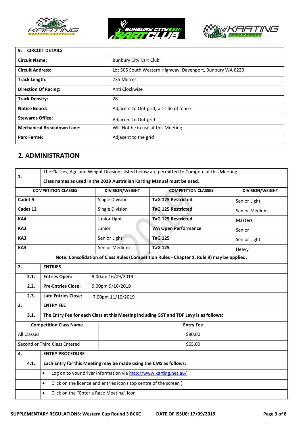





#### **9. CIRCUIT DETAILS**

| <b>Circuit Name:</b>              | <b>Bunbury City Kart Club</b>                             |
|-----------------------------------|-----------------------------------------------------------|
| <b>Circuit Address:</b>           | Lot 505 South Western Highway, Davenport, Bunbury WA 6230 |
| <b>Track Length:</b>              | 735 Metres                                                |
| <b>Direction Of Racing:</b>       | Anti Clockwise                                            |
| <b>Track Density:</b>             | 28                                                        |
| <b>Notice Board:</b>              | Adjacent to Out-grid, pit side of fence                   |
| <b>Stewards Office:</b>           | Adjacent to Out-grid                                      |
| <b>Mechanical Breakdown Lane:</b> | Will Not be in use at this Meeting.                       |
| Parc Fermé:                       | Adjacent to the grid                                      |

## **2. ADMINISTRATION**

| 1.                         | The Classes, Age and Weight Divisions listed below are permitted to Compete at this Meeting.<br>Class names as used in the 2019 Australian Karting Manual must be used. |                        |                                                                                            |                |  |  |
|----------------------------|-------------------------------------------------------------------------------------------------------------------------------------------------------------------------|------------------------|--------------------------------------------------------------------------------------------|----------------|--|--|
| <b>COMPETITION CLASSES</b> |                                                                                                                                                                         | <b>DIVISION/WEIGHT</b> | <b>COMPETITION CLASSES</b>                                                                 |                |  |  |
| Cadet 9                    |                                                                                                                                                                         | Single Division        | <b>TaG 125 Restricted</b>                                                                  | Senior Light   |  |  |
| Cadet 12                   |                                                                                                                                                                         | Single Division        | <b>TaG 125 Restricted</b>                                                                  | Senior Medium  |  |  |
| KA4                        |                                                                                                                                                                         | Junior Light           | <b>TaG 125 Restricted</b>                                                                  | <b>Masters</b> |  |  |
| KA3                        |                                                                                                                                                                         | Junior                 | <b>WA Open Performance</b>                                                                 | Senior         |  |  |
| KA3                        |                                                                                                                                                                         | Senior Light           | <b>TaG 125</b>                                                                             | Senior Light   |  |  |
| KA3                        |                                                                                                                                                                         | Senior Medium          | <b>TaG 125</b>                                                                             | Heavy          |  |  |
|                            |                                                                                                                                                                         |                        | Note: Consolidation of Class Rules (Competition Rules - Chapter 1, Rule 9) may be applied. |                |  |  |
| 2.                         | <b>ENTRIES</b>                                                                                                                                                          |                        |                                                                                            |                |  |  |
| 2.1.                       | <b>Entries Open:</b>                                                                                                                                                    | 9.00am 16/09/2019      |                                                                                            |                |  |  |
| 2.2.                       | <b>Pre-Entries Close:</b>                                                                                                                                               | 9.00pm 9/10/2019       |                                                                                            |                |  |  |
| 2.3.                       | <b>Late Entries Close:</b>                                                                                                                                              | 7.00pm 11/10/2019      |                                                                                            |                |  |  |
| 3.                         | <b>ENTRY FEE</b>                                                                                                                                                        |                        |                                                                                            |                |  |  |
| 3.1.                       |                                                                                                                                                                         |                        | The Entry Fee for each Class at this Meeting including GST and TDF Levy is as follows:     |                |  |  |
|                            | <b>Competition Class Name</b>                                                                                                                                           |                        | <b>Entry Fee</b>                                                                           |                |  |  |
| <b>All Classes</b>         |                                                                                                                                                                         |                        | \$80.00                                                                                    |                |  |  |
|                            | Second or Third Class Entered                                                                                                                                           |                        | \$65.00                                                                                    |                |  |  |
| 4.                         | <b>ENTRY PROCEDURE</b>                                                                                                                                                  |                        |                                                                                            |                |  |  |
| 4.1.                       | Each Entry for this Meeting may be made using the CMS as follows:                                                                                                       |                        |                                                                                            |                |  |  |
|                            | Log on to your driver information via http://www.karting.net.au/<br>$\bullet$                                                                                           |                        |                                                                                            |                |  |  |
|                            | Click on the licence and entries icon (top centre of the screen)<br>$\bullet$                                                                                           |                        |                                                                                            |                |  |  |
|                            | Click on the "Enter a Race Meeting" icon<br>$\bullet$                                                                                                                   |                        |                                                                                            |                |  |  |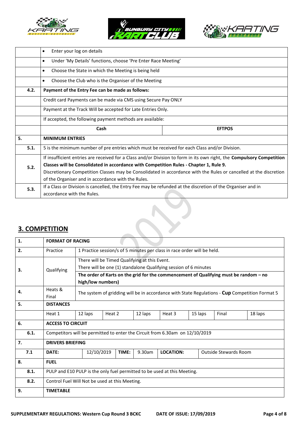





|      | Enter your log on details<br>$\bullet$                                                                                |  |  |  |  |  |
|------|-----------------------------------------------------------------------------------------------------------------------|--|--|--|--|--|
|      | Under 'My Details' functions, choose 'Pre Enter Race Meeting'<br>$\bullet$                                            |  |  |  |  |  |
|      | Choose the State in which the Meeting is being held<br>$\bullet$                                                      |  |  |  |  |  |
|      | Choose the Club who is the Organiser of the Meeting<br>$\bullet$                                                      |  |  |  |  |  |
| 4.2. | Payment of the Entry Fee can be made as follows:                                                                      |  |  |  |  |  |
|      | Credit card Payments can be made via CMS using Secure Pay ONLY                                                        |  |  |  |  |  |
|      | Payment at the Track Will be accepted for Late Entries Only.                                                          |  |  |  |  |  |
|      | If accepted, the following payment methods are available:                                                             |  |  |  |  |  |
|      | Cash<br><b>EFTPOS</b>                                                                                                 |  |  |  |  |  |
| 5.   | <b>MINIMUM ENTRIES</b>                                                                                                |  |  |  |  |  |
| 5.1. | 5 is the minimum number of pre entries which must be received for each Class and/or Division.                         |  |  |  |  |  |
|      | If insufficient entries are received for a Class and/or Division to form in its own right, the Compulsory Competition |  |  |  |  |  |
| 5.2. | Classes will be Consolidated in accordance with Competition Rules - Chapter 1, Rule 9.                                |  |  |  |  |  |
|      | Discretionary Competition Classes may be Consolidated in accordance with the Rules or cancelled at the discretion     |  |  |  |  |  |
|      | of the Organiser and in accordance with the Rules.                                                                    |  |  |  |  |  |
| 5.3. | If a Class or Division is cancelled, the Entry Fee may be refunded at the discretion of the Organiser and in          |  |  |  |  |  |
|      | accordance with the Rules.                                                                                            |  |  |  |  |  |

# **3. COMPETITION**

| 1.   | <b>FORMAT OF RACING</b>                                                      |                                                                                                |        |       |         |                                                                  |         |                                                                                       |  |  |
|------|------------------------------------------------------------------------------|------------------------------------------------------------------------------------------------|--------|-------|---------|------------------------------------------------------------------|---------|---------------------------------------------------------------------------------------|--|--|
| 2.   | Practice                                                                     | 1 Practice session/s of 5 minutes per class in race order will be held.                        |        |       |         |                                                                  |         |                                                                                       |  |  |
|      |                                                                              | There will be Timed Qualifying at this Event.                                                  |        |       |         |                                                                  |         |                                                                                       |  |  |
| З.   | Qualifying                                                                   |                                                                                                |        |       |         | There will be one (1) standalone Qualifying session of 6 minutes |         |                                                                                       |  |  |
|      |                                                                              |                                                                                                |        |       |         |                                                                  |         | The order of Karts on the grid for the commencement of Qualifying must be random – no |  |  |
|      |                                                                              | high/low numbers)                                                                              |        |       |         |                                                                  |         |                                                                                       |  |  |
| 4.   | Heats &<br>Final                                                             | The system of gridding will be in accordance with State Regulations - Cup Competition Format 5 |        |       |         |                                                                  |         |                                                                                       |  |  |
| 5.   | <b>DISTANCES</b>                                                             |                                                                                                |        |       |         |                                                                  |         |                                                                                       |  |  |
|      | Heat 1                                                                       | 12 laps                                                                                        | Heat 2 |       | 12 laps | Heat 3                                                           | 15 laps | Final<br>18 laps                                                                      |  |  |
| 6.   | <b>ACCESS TO CIRCUIT</b>                                                     |                                                                                                |        |       |         |                                                                  |         |                                                                                       |  |  |
| 6.1. | Competitors will be permitted to enter the Circuit from 6.30am on 12/10/2019 |                                                                                                |        |       |         |                                                                  |         |                                                                                       |  |  |
| 7.   | <b>DRIVERS BRIEFING</b>                                                      |                                                                                                |        |       |         |                                                                  |         |                                                                                       |  |  |
| 7.1  | DATE:                                                                        | 12/10/2019                                                                                     |        | TIME: | 9.30am  | <b>LOCATION:</b>                                                 |         | Outside Stewards Room                                                                 |  |  |
| 8.   | <b>FUEL</b>                                                                  |                                                                                                |        |       |         |                                                                  |         |                                                                                       |  |  |
| 8.1. | PULP and E10 PULP is the only fuel permitted to be used at this Meeting.     |                                                                                                |        |       |         |                                                                  |         |                                                                                       |  |  |
| 8.2. | Control Fuel Will Not be used at this Meeting.                               |                                                                                                |        |       |         |                                                                  |         |                                                                                       |  |  |
| 9.   | <b>TIMETABLE</b>                                                             |                                                                                                |        |       |         |                                                                  |         |                                                                                       |  |  |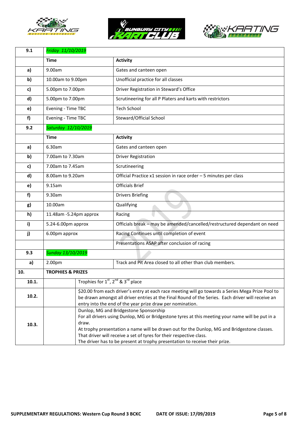





| Friday 11/10/2019                                                                                                                                                       |                                                                        |                                                                                                                                                                                                         |  |  |
|-------------------------------------------------------------------------------------------------------------------------------------------------------------------------|------------------------------------------------------------------------|---------------------------------------------------------------------------------------------------------------------------------------------------------------------------------------------------------|--|--|
| <b>Time</b>                                                                                                                                                             |                                                                        | <b>Activity</b>                                                                                                                                                                                         |  |  |
| 9.00am                                                                                                                                                                  |                                                                        | Gates and canteen open                                                                                                                                                                                  |  |  |
| 10.00am to 9.00pm                                                                                                                                                       |                                                                        | Unofficial practice for all classes                                                                                                                                                                     |  |  |
|                                                                                                                                                                         |                                                                        | Driver Registration in Steward's Office                                                                                                                                                                 |  |  |
|                                                                                                                                                                         |                                                                        | Scrutineering for all P Platers and karts with restrictors                                                                                                                                              |  |  |
|                                                                                                                                                                         |                                                                        | <b>Tech School</b>                                                                                                                                                                                      |  |  |
|                                                                                                                                                                         |                                                                        | Steward/Official School                                                                                                                                                                                 |  |  |
|                                                                                                                                                                         |                                                                        |                                                                                                                                                                                                         |  |  |
| <b>Time</b>                                                                                                                                                             |                                                                        | <b>Activity</b>                                                                                                                                                                                         |  |  |
| 6.30am                                                                                                                                                                  |                                                                        | Gates and canteen open                                                                                                                                                                                  |  |  |
|                                                                                                                                                                         |                                                                        | <b>Driver Registration</b>                                                                                                                                                                              |  |  |
| 7.00am to 7.45am                                                                                                                                                        |                                                                        | Scrutineering                                                                                                                                                                                           |  |  |
| 8.00am to 9.20am                                                                                                                                                        |                                                                        | Official Practice x1 session in race order - 5 minutes per class                                                                                                                                        |  |  |
| 9.15am                                                                                                                                                                  |                                                                        | <b>Officials Brief</b>                                                                                                                                                                                  |  |  |
| 9.30am                                                                                                                                                                  |                                                                        | <b>Drivers Briefing</b>                                                                                                                                                                                 |  |  |
| 10.00am                                                                                                                                                                 |                                                                        | Qualifying                                                                                                                                                                                              |  |  |
| 11.48am -5.24pm approx                                                                                                                                                  |                                                                        | Racing                                                                                                                                                                                                  |  |  |
|                                                                                                                                                                         |                                                                        | Officials break - may be amended/cancelled/restructured dependant on need                                                                                                                               |  |  |
|                                                                                                                                                                         |                                                                        | Racing Continues until completion of event                                                                                                                                                              |  |  |
| Presentations ASAP after conclusion of racing                                                                                                                           |                                                                        |                                                                                                                                                                                                         |  |  |
|                                                                                                                                                                         |                                                                        |                                                                                                                                                                                                         |  |  |
| 2.00pm                                                                                                                                                                  |                                                                        | Track and Pit Area closed to all other than club members.                                                                                                                                               |  |  |
| <b>TROPHIES &amp; PRIZES</b>                                                                                                                                            |                                                                        |                                                                                                                                                                                                         |  |  |
|                                                                                                                                                                         | Trophies for 1 <sup>st</sup> , 2 <sup>nd</sup> & 3 <sup>rd</sup> place |                                                                                                                                                                                                         |  |  |
| \$20.00 from each driver's entry at each race meeting will go towards a Series Mega Prize Pool to                                                                       |                                                                        |                                                                                                                                                                                                         |  |  |
| 10.2.<br>be drawn amongst all driver entries at the Final Round of the Series. Each driver will receive an<br>entry into the end of the year prize draw per nomination. |                                                                        |                                                                                                                                                                                                         |  |  |
|                                                                                                                                                                         |                                                                        | Dunlop, MG and Bridgestone Sponsorship                                                                                                                                                                  |  |  |
|                                                                                                                                                                         |                                                                        | For all drivers using Dunlop, MG or Bridgestone tyres at this meeting your name will be put in a                                                                                                        |  |  |
|                                                                                                                                                                         |                                                                        | At trophy presentation a name will be drawn out for the Dunlop, MG and Bridgestone classes.                                                                                                             |  |  |
|                                                                                                                                                                         |                                                                        | That driver will receive a set of tyres for their respective class.<br>The driver has to be present at trophy presentation to receive their prize.                                                      |  |  |
|                                                                                                                                                                         |                                                                        | 5.00pm to 7.00pm<br>5.00pm to 7.00pm<br>Evening - Time TBC<br>Evening - Time TBC<br>Saturday 12/10/2019<br>7.00am to 7.30am<br>5.24-6.00pm approx<br>6.00pm approx<br><b>Sunday 13/10/2019</b><br>draw. |  |  |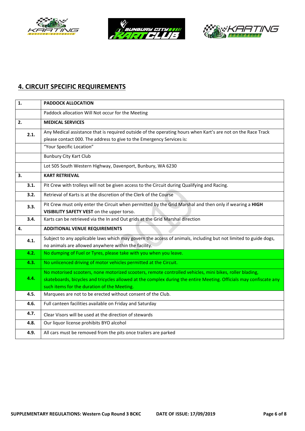





# **4. CIRCUIT SPECIFIC REQUIREMENTS**

| 1.   | <b>PADDOCK ALLOCATION</b>                                                                                          |
|------|--------------------------------------------------------------------------------------------------------------------|
|      | Paddock allocation Will Not occur for the Meeting                                                                  |
| 2.   | <b>MEDICAL SERVICES</b>                                                                                            |
| 2.1. | Any Medical assistance that is required outside of the operating hours when Kart's are not on the Race Track       |
|      | please contact 000. The address to give to the Emergency Services is:                                              |
|      | "Your Specific Location"                                                                                           |
|      | <b>Bunbury City Kart Club</b>                                                                                      |
|      | Lot 505 South Western Highway, Davenport, Bunbury, WA 6230                                                         |
| 3.   | <b>KART RETRIEVAL</b>                                                                                              |
| 3.1. | Pit Crew with trolleys will not be given access to the Circuit during Qualifying and Racing.                       |
| 3.2. | Retrieval of Karts is at the discretion of the Clerk of the Course                                                 |
| 3.3. | Pit Crew must only enter the Circuit when permitted by the Grid Marshal and then only if wearing a HIGH            |
|      | VISIBILITY SAFETY VEST on the upper torso.                                                                         |
| 3.4. | Karts can be retrieved via the In and Out grids at the Grid Marshal direction                                      |
| 4.   | <b>ADDITIONAL VENUE REQUIREMENTS</b>                                                                               |
| 4.1. | Subject to any applicable laws which may govern the access of animals, including but not limited to guide dogs,    |
|      | no animals are allowed anywhere within the facility.                                                               |
| 4.2. | No dumping of Fuel or Tyres, please take with you when you leave.                                                  |
| 4.3. | No unlicenced driving of motor vehicles permitted at the Circuit.                                                  |
|      | No motorised scooters, none motorized scooters, remote controlled vehicles, mini bikes, roller blading,            |
| 4.4. | skateboards, bicycles and tricycles allowed at the complex during the entire Meeting. Officials may confiscate any |
|      | such items for the duration of the Meeting.                                                                        |
| 4.5. | Marquees are not to be erected without consent of the Club.                                                        |
| 4.6. | Full canteen facilities available on Friday and Saturday                                                           |
| 4.7. | Clear Visors will be used at the direction of stewards                                                             |
| 4.8. | Our liquor license prohibits BYO alcohol                                                                           |
| 4.9. | All cars must be removed from the pits once trailers are parked                                                    |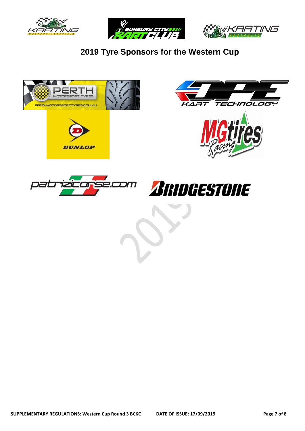





**2019 Tyre Sponsors for the Western Cup**